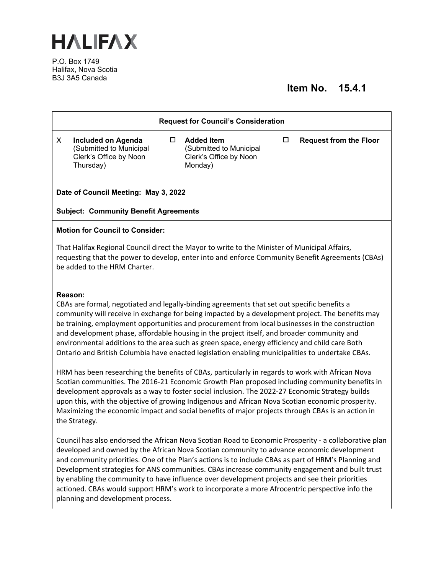

P.O. Box 1749 Halifax, Nova Scotia B3J 3A5 Canada

## **Item No. 15.4.1**

| <b>Request for Council's Consideration</b>                                                                                                                                                                                                                                                                                                                                                                                                                                                                                                                                                                                                                                                                                                                                                                                                                                                                                                                                                                                                                                                                                                            |                                                                                             |        |                                                                                   |        |                               |  |
|-------------------------------------------------------------------------------------------------------------------------------------------------------------------------------------------------------------------------------------------------------------------------------------------------------------------------------------------------------------------------------------------------------------------------------------------------------------------------------------------------------------------------------------------------------------------------------------------------------------------------------------------------------------------------------------------------------------------------------------------------------------------------------------------------------------------------------------------------------------------------------------------------------------------------------------------------------------------------------------------------------------------------------------------------------------------------------------------------------------------------------------------------------|---------------------------------------------------------------------------------------------|--------|-----------------------------------------------------------------------------------|--------|-------------------------------|--|
| X                                                                                                                                                                                                                                                                                                                                                                                                                                                                                                                                                                                                                                                                                                                                                                                                                                                                                                                                                                                                                                                                                                                                                     | <b>Included on Agenda</b><br>(Submitted to Municipal<br>Clerk's Office by Noon<br>Thursday) | $\Box$ | <b>Added Item</b><br>(Submitted to Municipal<br>Clerk's Office by Noon<br>Monday) | $\Box$ | <b>Request from the Floor</b> |  |
| Date of Council Meeting: May 3, 2022                                                                                                                                                                                                                                                                                                                                                                                                                                                                                                                                                                                                                                                                                                                                                                                                                                                                                                                                                                                                                                                                                                                  |                                                                                             |        |                                                                                   |        |                               |  |
| <b>Subject: Community Benefit Agreements</b>                                                                                                                                                                                                                                                                                                                                                                                                                                                                                                                                                                                                                                                                                                                                                                                                                                                                                                                                                                                                                                                                                                          |                                                                                             |        |                                                                                   |        |                               |  |
| <b>Motion for Council to Consider:</b>                                                                                                                                                                                                                                                                                                                                                                                                                                                                                                                                                                                                                                                                                                                                                                                                                                                                                                                                                                                                                                                                                                                |                                                                                             |        |                                                                                   |        |                               |  |
| That Halifax Regional Council direct the Mayor to write to the Minister of Municipal Affairs,<br>requesting that the power to develop, enter into and enforce Community Benefit Agreements (CBAs)<br>be added to the HRM Charter.                                                                                                                                                                                                                                                                                                                                                                                                                                                                                                                                                                                                                                                                                                                                                                                                                                                                                                                     |                                                                                             |        |                                                                                   |        |                               |  |
| Reason:<br>CBAs are formal, negotiated and legally-binding agreements that set out specific benefits a<br>community will receive in exchange for being impacted by a development project. The benefits may<br>be training, employment opportunities and procurement from local businesses in the construction<br>and development phase, affordable housing in the project itself, and broader community and<br>environmental additions to the area such as green space, energy efficiency and child care Both<br>Ontario and British Columbia have enacted legislation enabling municipalities to undertake CBAs.<br>HRM has been researching the benefits of CBAs, particularly in regards to work with African Nova<br>Scotian communities. The 2016-21 Economic Growth Plan proposed including community benefits in<br>development approvals as a way to foster social inclusion. The 2022-27 Economic Strategy builds<br>upon this, with the objective of growing Indigenous and African Nova Scotian economic prosperity.<br>Maximizing the economic impact and social benefits of major projects through CBAs is an action in<br>the Strategy. |                                                                                             |        |                                                                                   |        |                               |  |
| Council has also endorsed the African Nova Scotian Road to Economic Prosperity - a collaborative plan                                                                                                                                                                                                                                                                                                                                                                                                                                                                                                                                                                                                                                                                                                                                                                                                                                                                                                                                                                                                                                                 |                                                                                             |        |                                                                                   |        |                               |  |

developed and owned by the African Nova Scotian community to advance economic development and community priorities. One of the Plan's actions is to include CBAs as part of HRM's Planning and Development strategies for ANS communities. CBAs increase community engagement and built trust by enabling the community to have influence over development projects and see their priorities actioned. CBAs would support HRM's work to incorporate a more Afrocentric perspective info the planning and development process.